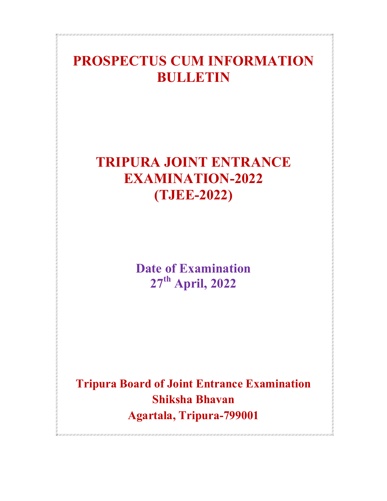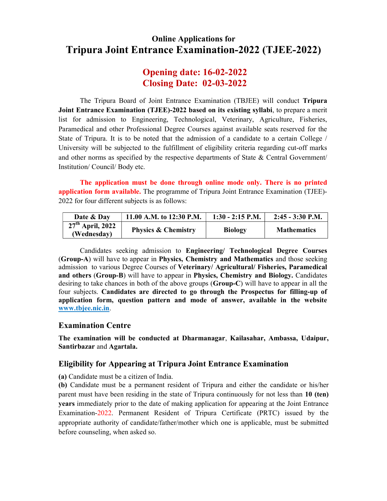## Online Applications for Tripura Joint Entrance Examination-2022 (TJEE-2022)

### Opening date: 16-02-2022 Closing Date: 02-03-2022

The Tripura Board of Joint Entrance Examination (TBJEE) will conduct Tripura Joint Entrance Examination (TJEE)-2022 based on its existing syllabi, to prepare a merit list for admission to Engineering, Technological, Veterinary, Agriculture, Fisheries, Paramedical and other Professional Degree Courses against available seats reserved for the State of Tripura. It is to be noted that the admission of a candidate to a certain College / University will be subjected to the fulfillment of eligibility criteria regarding cut-off marks and other norms as specified by the respective departments of State  $\&$  Central Government/ Institution/ Council/ Body etc.

The application must be done through online mode only. There is no printed application form available. The programme of Tripura Joint Entrance Examination (TJEE)- 2022 for four different subjects is as follows:

| Date & Day                        | 11.00 A.M. to 12:30 P.M.       | $1:30 - 2:15$ P.M. | $2:45 - 3:30$ P.M. |
|-----------------------------------|--------------------------------|--------------------|--------------------|
| $27th$ April, 2022<br>(Wednesday) | <b>Physics &amp; Chemistry</b> | <b>Biology</b>     | <b>Mathematics</b> |

Candidates seeking admission to Engineering/ Technological Degree Courses (Group-A) will have to appear in Physics, Chemistry and Mathematics and those seeking admission to various Degree Courses of Veterinary/ Agricultural/ Fisheries, Paramedical and others (Group-B) will have to appear in Physics, Chemistry and Biology. Candidates desiring to take chances in both of the above groups (Group-C) will have to appear in all the four subjects. Candidates are directed to go through the Prospectus for filling-up of application form, question pattern and mode of answer, available in the website www.tbjee.nic.in.

#### Examination Centre

The examination will be conducted at Dharmanagar, Kailasahar, Ambassa, Udaipur, Santirbazar and Agartala.

#### Eligibility for Appearing at Tripura Joint Entrance Examination

(a) Candidate must be a citizen of India.

(b) Candidate must be a permanent resident of Tripura and either the candidate or his/her parent must have been residing in the state of Tripura continuously for not less than 10 (ten) years immediately prior to the date of making application for appearing at the Joint Entrance Examination-2022. Permanent Resident of Tripura Certificate (PRTC) issued by the appropriate authority of candidate/father/mother which one is applicable, must be submitted before counseling, when asked so.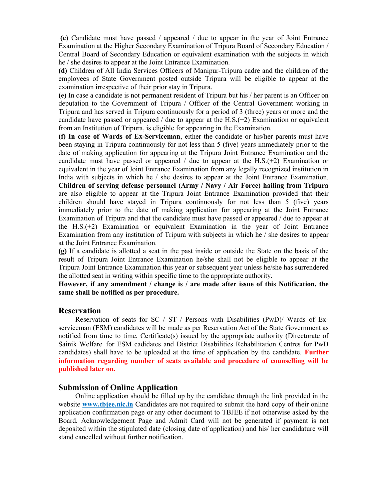(c) Candidate must have passed / appeared / due to appear in the year of Joint Entrance Examination at the Higher Secondary Examination of Tripura Board of Secondary Education / Central Board of Secondary Education or equivalent examination with the subjects in which he / she desires to appear at the Joint Entrance Examination.

(d) Children of All India Services Officers of Manipur-Tripura cadre and the children of the employees of State Government posted outside Tripura will be eligible to appear at the examination irrespective of their prior stay in Tripura.

(e) In case a candidate is not permanent resident of Tripura but his / her parent is an Officer on deputation to the Government of Tripura / Officer of the Central Government working in Tripura and has served in Tripura continuously for a period of 3 (three) years or more and the candidate have passed or appeared / due to appear at the H.S.( $+2$ ) Examination or equivalent from an Institution of Tripura, is eligible for appearing in the Examination.

(f) In case of Wards of Ex-Serviceman, either the candidate or his/her parents must have been staying in Tripura continuously for not less than 5 (five) years immediately prior to the date of making application for appearing at the Tripura Joint Entrance Examination and the candidate must have passed or appeared / due to appear at the  $H.S.(+2)$  Examination or equivalent in the year of Joint Entrance Examination from any legally recognized institution in India with subjects in which he / she desires to appear at the Joint Entrance Examination. Children of serving defense personnel (Army / Navy / Air Force) hailing from Tripura are also eligible to appear at the Tripura Joint Entrance Examination provided that their children should have stayed in Tripura continuously for not less than 5 (five) years immediately prior to the date of making application for appearing at the Joint Entrance Examination of Tripura and that the candidate must have passed or appeared / due to appear at the H.S.(+2) Examination or equivalent Examination in the year of Joint Entrance Examination from any institution of Tripura with subjects in which he / she desires to appear at the Joint Entrance Examination.

(g) If a candidate is allotted a seat in the past inside or outside the State on the basis of the result of Tripura Joint Entrance Examination he/she shall not be eligible to appear at the Tripura Joint Entrance Examination this year or subsequent year unless he/she has surrendered the allotted seat in writing within specific time to the appropriate authority.

However, if any amendment / change is / are made after issue of this Notification, the same shall be notified as per procedure.

#### Reservation

 Reservation of seats for SC / ST / Persons with Disabilities (PwD)/ Wards of Exserviceman (ESM) candidates will be made as per Reservation Act of the State Government as notified from time to time. Certificate(s) issued by the appropriate authority (Directorate of Sainik Welfare for ESM cadidates and District Disabilities Rehabilitation Centres for PwD candidates) shall have to be uploaded at the time of application by the candidate. Further information regarding number of seats available and procedure of counselling will be published later on.

#### Submission of Online Application

 Online application should be filled up by the candidate through the link provided in the website www.tbjee.nic.in Candidates are not required to submit the hard copy of their online application confirmation page or any other document to TBJEE if not otherwise asked by the Board. Acknowledgement Page and Admit Card will not be generated if payment is not deposited within the stipulated date (closing date of application) and his/ her candidature will stand cancelled without further notification.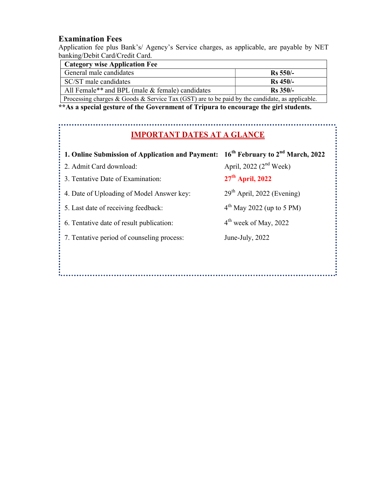#### Examination Fees

Application fee plus Bank's/ Agency's Service charges, as applicable, are payable by NET banking/Debit Card/Credit Card.

| <b>Category wise Application Fee</b>                        |             |  |
|-------------------------------------------------------------|-------------|--|
| General male candidates                                     | $Rs 550/-$  |  |
| SC/ST male candidates                                       | $Rs\,450/-$ |  |
| All Female <sup>**</sup> and BPL (male & female) candidates | $Rs 350/-$  |  |
|                                                             |             |  |

Processing charges & Goods & Service Tax (GST) are to be paid by the candidate, as applicable.

\*\*As a special gesture of the Government of Tripura to encourage the girl students.

# IMPORTANT DATES AT A GLANCE

| 1. Online Submission of Application and Payment: | 16 <sup>th</sup> February to 2 <sup>nd</sup> March, 2022 |
|--------------------------------------------------|----------------------------------------------------------|
| : 2. Admit Card download:                        | April, 2022 $(2nd \text{ week})$                         |
| 3. Tentative Date of Examination:                | $27th$ April, 2022                                       |
| 4. Date of Uploading of Model Answer key:        | 29 <sup>th</sup> April, 2022 (Evening)                   |
| 5. Last date of receiving feedback:              | $4th$ May 2022 (up to 5 PM)                              |
| 6. Tentative date of result publication:         | 4 <sup>th</sup> week of May, 2022                        |
| 7. Tentative period of counseling process:       | June-July, 2022                                          |
|                                                  |                                                          |
|                                                  |                                                          |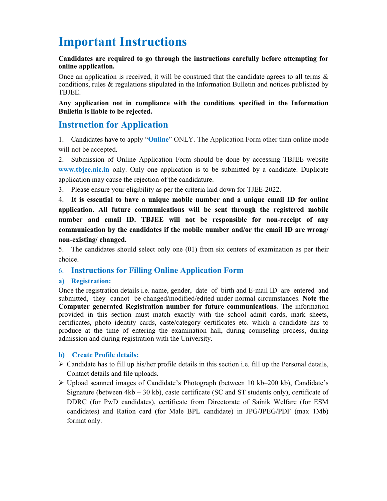## Important Instructions

#### Candidates are required to go through the instructions carefully before attempting for online application.

Once an application is received, it will be construed that the candidate agrees to all terms  $\&$ conditions, rules & regulations stipulated in the Information Bulletin and notices published by TBJEE.

Any application not in compliance with the conditions specified in the Information Bulletin is liable to be rejected.

#### Instruction for Application

1. Candidates have to apply "Online" ONLY. The Application Form other than online mode will not be accepted.

2. Submission of Online Application Form should be done by accessing TBJEE website www.tbjee.nic.in only. Only one application is to be submitted by a candidate. Duplicate application may cause the rejection of the candidature.

3. Please ensure your eligibility as per the criteria laid down for TJEE-2022.

4. It is essential to have a unique mobile number and a unique email ID for online application. All future communications will be sent through the registered mobile number and email ID. TBJEE will not be responsible for non-receipt of any communication by the candidates if the mobile number and/or the email ID are wrong/ non-existing/ changed.

5. The candidates should select only one (01) from six centers of examination as per their choice.

#### 6. Instructions for Filling Online Application Form

#### a) Registration:

Once the registration details i.e. name, gender, date of birth and E-mail ID are entered and submitted, they cannot be changed/modified/edited under normal circumstances. Note the Computer generated Registration number for future communications. The information provided in this section must match exactly with the school admit cards, mark sheets, certificates, photo identity cards, caste/category certificates etc. which a candidate has to produce at the time of entering the examination hall, during counseling process, during admission and during registration with the University.

#### b) Create Profile details:

- $\triangleright$  Candidate has to fill up his/her profile details in this section i.e. fill up the Personal details, Contact details and file uploads.
- Upload scanned images of Candidate's Photograph (between 10 kb–200 kb), Candidate's Signature (between 4kb – 30 kb), caste certificate (SC and ST students only), certificate of DDRC (for PwD candidates), certificate from Directorate of Sainik Welfare (for ESM candidates) and Ration card (for Male BPL candidate) in JPG/JPEG/PDF (max 1Mb) format only.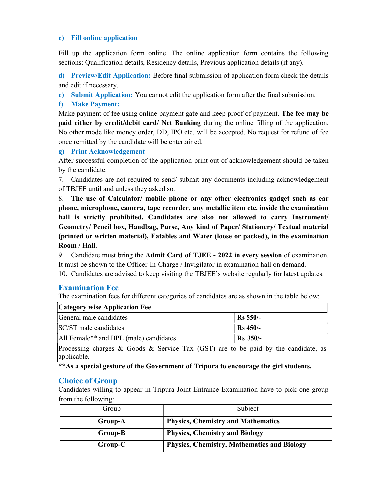#### c) Fill online application

Fill up the application form online. The online application form contains the following sections: Qualification details, Residency details, Previous application details (if any).

d) Preview/Edit Application: Before final submission of application form check the details and edit if necessary.

e) Submit Application: You cannot edit the application form after the final submission.

#### f) Make Payment:

Make payment of fee using online payment gate and keep proof of payment. The fee may be paid either by credit/debit card/ Net Banking during the online filling of the application. No other mode like money order, DD, IPO etc. will be accepted. No request for refund of fee once remitted by the candidate will be entertained.

#### g) Print Acknowledgement

After successful completion of the application print out of acknowledgement should be taken by the candidate.

7. Candidates are not required to send/ submit any documents including acknowledgement of TBJEE until and unless they asked so.

8. The use of Calculator/ mobile phone or any other electronics gadget such as ear phone, microphone, camera, tape recorder, any metallic item etc. inside the examination hall is strictly prohibited. Candidates are also not allowed to carry Instrument/ Geometry/ Pencil box, Handbag, Purse, Any kind of Paper/ Stationery/ Textual material (printed or written material), Eatables and Water (loose or packed), in the examination Room / Hall.

9. Candidate must bring the Admit Card of TJEE - 2022 in every session of examination. It must be shown to the Officer-In-Charge / Invigilator in examination hall on demand.

10. Candidates are advised to keep visiting the TBJEE's website regularly for latest updates.

#### Examination Fee

The examination fees for different categories of candidates are as shown in the table below:

| <b>Category wise Application Fee</b>                                                                                                                                                                                                                                                                           |            |  |
|----------------------------------------------------------------------------------------------------------------------------------------------------------------------------------------------------------------------------------------------------------------------------------------------------------------|------------|--|
| General male candidates                                                                                                                                                                                                                                                                                        | Rs 550/-   |  |
| SC/ST male candidates                                                                                                                                                                                                                                                                                          | Rs 450/-   |  |
| All Female <sup>**</sup> and BPL (male) candidates                                                                                                                                                                                                                                                             | $Rs$ 350/- |  |
| $\mathbf{D}_{\text{max}}$ , and the set of $\mathbf{C}$ , the $\mathbf{0}$ set $\mathbf{C}_{\text{max}}$ is a set of $\mathbf{D}_{\text{max}}$ and $\mathbf{C}_{\text{max}}$ is the set of $\mathbf{I}_{\text{max}}$ and $\mathbf{I}_{\text{max}}$ and $\mathbf{I}_{\text{max}}$ and $\mathbf{I}_{\text{max}}$ |            |  |

Processing charges & Goods & Service Tax (GST) are to be paid by the candidate, as applicable.

\*\*As a special gesture of the Government of Tripura to encourage the girl students.

#### Choice of Group

Candidates willing to appear in Tripura Joint Entrance Examination have to pick one group from the following:

| Subject                                            |
|----------------------------------------------------|
| <b>Physics, Chemistry and Mathematics</b>          |
| <b>Physics, Chemistry and Biology</b>              |
| <b>Physics, Chemistry, Mathematics and Biology</b> |
|                                                    |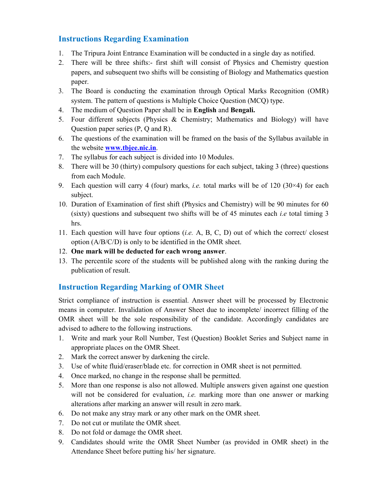#### Instructions Regarding Examination

- 1. The Tripura Joint Entrance Examination will be conducted in a single day as notified.
- 2. There will be three shifts:- first shift will consist of Physics and Chemistry question papers, and subsequent two shifts will be consisting of Biology and Mathematics question paper.
- 3. The Board is conducting the examination through Optical Marks Recognition (OMR) system. The pattern of questions is Multiple Choice Question (MCQ) type.
- 4. The medium of Question Paper shall be in English and Bengali.
- 5. Four different subjects (Physics & Chemistry; Mathematics and Biology) will have Question paper series (P, Q and R).
- 6. The questions of the examination will be framed on the basis of the Syllabus available in the website www.tbjee.nic.in.
- 7. The syllabus for each subject is divided into 10 Modules.
- 8. There will be 30 (thirty) compulsory questions for each subject, taking 3 (three) questions from each Module.
- 9. Each question will carry 4 (four) marks, *i.e.* total marks will be of 120 (30 $\times$ 4) for each subject.
- 10. Duration of Examination of first shift (Physics and Chemistry) will be 90 minutes for 60 (sixty) questions and subsequent two shifts will be of 45 minutes each *i.e* total timing 3 hrs.
- 11. Each question will have four options  $(i.e. A, B, C, D)$  out of which the correct/ closest option (A/B/C/D) is only to be identified in the OMR sheet.
- 12. One mark will be deducted for each wrong answer.
- 13. The percentile score of the students will be published along with the ranking during the publication of result.

#### Instruction Regarding Marking of OMR Sheet

Strict compliance of instruction is essential. Answer sheet will be processed by Electronic means in computer. Invalidation of Answer Sheet due to incomplete/ incorrect filling of the OMR sheet will be the sole responsibility of the candidate. Accordingly candidates are advised to adhere to the following instructions.

- 1. Write and mark your Roll Number, Test (Question) Booklet Series and Subject name in appropriate places on the OMR Sheet.
- 2. Mark the correct answer by darkening the circle.
- 3. Use of white fluid/eraser/blade etc. for correction in OMR sheet is not permitted.
- 4. Once marked, no change in the response shall be permitted.
- 5. More than one response is also not allowed. Multiple answers given against one question will not be considered for evaluation, *i.e.* marking more than one answer or marking alterations after marking an answer will result in zero mark.
- 6. Do not make any stray mark or any other mark on the OMR sheet.
- 7. Do not cut or mutilate the OMR sheet.
- 8. Do not fold or damage the OMR sheet.
- Attendance Sheet before putting his/ her signature. 9. Candidates should write the OMR Sheet Number (as provided in OMR sheet) in the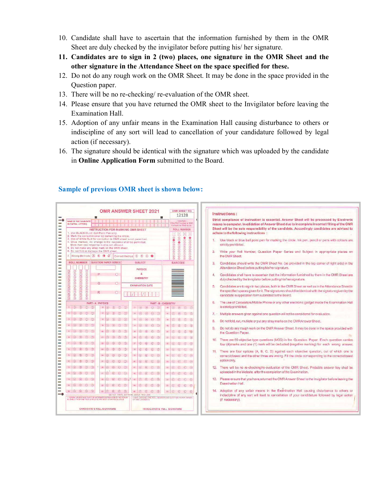- 10. Candidate shall have to ascertain that the information furnished by them in the OMR Sheet are duly checked by the invigilator before putting his/ her signature.
- 11. Candidates are to sign in 2 (two) places, one signature in the OMR Sheet and the other signature in the Attendance Sheet on the space specified for these.
- 12. Do not do any rough work on the OMR Sheet. It may be done in the space provided in the Question paper.
- 13. There will be no re-checking/ re-evaluation of the OMR sheet.
- 14. Please ensure that you have returned the OMR sheet to the Invigilator before leaving the Examination Hall.
- 15. Adoption of any unfair means in the Examination Hall causing disturbance to others or indiscipline of any sort will lead to cancellation of your candidature followed by legal action (if necessary).
- 16. The signature should be identical with the signature which was uploaded by the candidate in Online Application Form submitted to the Board.

**Hectronic** the OMR dvised to clours are daces on ide) in the Sheet are e Sheet in ven by the ation Hall

vided with on carries g answer. ch one is ect/closest y shall be eaving the others or gal action

| 鹽                                                                                                                                                                                                                                                                                                                                                                                                                                                                                                                                                                                                                                                                                                                                                                                                                                                                                                                                   | 12128                                                                                                                                                                                                                                                                                                                                                                                                                                     | Instructions:<br>Strict compliance of instruction is essential. Answer Sheet will be processed by I                                                                                                                                                                                                                                                                                                                                                                                                                                                                                                                                                                                                                                                                                                                                                                                                                                                                      |
|-------------------------------------------------------------------------------------------------------------------------------------------------------------------------------------------------------------------------------------------------------------------------------------------------------------------------------------------------------------------------------------------------------------------------------------------------------------------------------------------------------------------------------------------------------------------------------------------------------------------------------------------------------------------------------------------------------------------------------------------------------------------------------------------------------------------------------------------------------------------------------------------------------------------------------------|-------------------------------------------------------------------------------------------------------------------------------------------------------------------------------------------------------------------------------------------------------------------------------------------------------------------------------------------------------------------------------------------------------------------------------------------|--------------------------------------------------------------------------------------------------------------------------------------------------------------------------------------------------------------------------------------------------------------------------------------------------------------------------------------------------------------------------------------------------------------------------------------------------------------------------------------------------------------------------------------------------------------------------------------------------------------------------------------------------------------------------------------------------------------------------------------------------------------------------------------------------------------------------------------------------------------------------------------------------------------------------------------------------------------------------|
| <b>NAME OF THE CANDIDATE</b><br>(IN CAPITAL LETTERS)<br><b>INSTRUCTION FOR MARKING OMR SHEET</b><br>1. Use BLACK/BLUE Ball-Point Pen only.<br>2. Mark the correct Answer by darkening the circle.<br>3. Use of White fluid for correction in OMR sheet is not permitted.<br>4. Once marked, no change in the response shall be permitted.<br>More than one response is also not allowed<br>5. Do not make any stray mark on the OMR sheet.<br>6. Do not fold or damage the OMR sheet<br>7. Wrong Methods 2 8 8 4 5<br>Correct Method (2) (B) (C)<br><b>ROLL NUMBER</b><br><b>QUESTION PAPER SERIES</b><br><b>SUBJECT</b><br><b>PHYSICS</b><br>00000000000<br>$\odot$ $\odot$<br>0000000000<br>8<br>P<br>$\circ$<br><b>CHEMISTRY</b><br>$\odot$<br>$\Omega$<br>o<br><b>EXAMINATION DATE</b><br>(000000)<br>R<br>$\Omega$                                                                                                             | : Example :-<br>he Roll Number is 1200<br>should be filed up as<br><b>ROLL NUMBER</b><br>$\vert$ 2<br>$\boxed{0}$<br> 1 <br> 0 <br>98<br>00000000000<br>99099<br>$\bullet$<br>89<br>8<br>٨<br>8000<br>0<br>面<br>ğ<br>0000<br><b>BARCODE</b>                                                                                                                                                                                               | means in computer. Invalidation of Answer Sheet due to incomplete/incorrect filling o<br>Sheet will be the sole responsibility of the candidate. Accordingly candidates are a<br>adhere to the following instructions:<br>Use black or blue ball point pen for marking the circle. Ink pen, pencil or pens with o<br>т.<br>strictly prohibited.<br>Write your Roll Number, Question Paper Series and Subject in appropriate<br>2.<br>the OMR Sheet.<br>Candidates should write the OMR Sheet No. (as provided in the top corner of right s<br>3.<br>Attendance Sheet before putting his/her signature.<br>Candidates shall have to ascertain that the information furnished by them in the OMR<br>4.<br>duly checked by the Invigilator before putting his/her signature.<br>Candidates are to sign in two places, both in the OMR Sheet as well as in the Attendant<br>5.<br>the specified spaces given for it. The signatures should be identical with the signature g |
| 000<br><b>PART - A: PHYSICS</b>                                                                                                                                                                                                                                                                                                                                                                                                                                                                                                                                                                                                                                                                                                                                                                                                                                                                                                     | <b>PART - B: CHEMISTRY</b>                                                                                                                                                                                                                                                                                                                                                                                                                | candidate in application form submitted to the Board.<br>The use of Calculators/Mobile Phone or any other electronic gadget inside the Exami<br>6.                                                                                                                                                                                                                                                                                                                                                                                                                                                                                                                                                                                                                                                                                                                                                                                                                       |
| 18 (4) (6) (6)<br>$\circ$<br>$2^{\circ}$ (a) (a) (b) (c)                                                                                                                                                                                                                                                                                                                                                                                                                                                                                                                                                                                                                                                                                                                                                                                                                                                                            | $\begin{array}{ccc} \hline \bullet & \circledcirc & \circledcirc \end{array}$<br>$\sqrt{5}$<br>We.<br>$47 -$                                                                                                                                                                                                                                                                                                                              | is strictly prohibited.                                                                                                                                                                                                                                                                                                                                                                                                                                                                                                                                                                                                                                                                                                                                                                                                                                                                                                                                                  |
| ts (4) (6) (6) (6)<br>$23 \quad \textcircled{4} \quad \textcircled{3} \quad \textcircled{5} \quad \textcircled{5}$                                                                                                                                                                                                                                                                                                                                                                                                                                                                                                                                                                                                                                                                                                                                                                                                                  | $\begin{array}{ccc} \textcircled{\small{a}} & \textcircled{\small{b}} & \textcircled{\small{c}} & \textcircled{\small{b}} \end{array}$<br>48 (2) (3) (3) (3)                                                                                                                                                                                                                                                                              | 7. • Multiple answers given against one question will not be considered for evaluation.                                                                                                                                                                                                                                                                                                                                                                                                                                                                                                                                                                                                                                                                                                                                                                                                                                                                                  |
| $\begin{array}{ccc} \star & \circledcirc & \circledcirc & \circledcirc \end{array}$<br>$\begin{array}{c ccc}\n\text{H} & \text{H} & \text{H} & \text{H} & \text{H} \\ \text{H} & \text{H} & \text{H} & \text{H} & \text{H} & \text{H}\n\end{array}$<br>34<br>$\begin{array}{ccc} \circ & \circ & \circ & \circ \end{array}$                                                                                                                                                                                                                                                                                                                                                                                                                                                                                                                                                                                                         | 唯 (4) (6) (6) (6)                                                                                                                                                                                                                                                                                                                                                                                                                         | Do not fold, cut, mutilate or put any stray marks on the OMR Answer Sheet.<br>8.                                                                                                                                                                                                                                                                                                                                                                                                                                                                                                                                                                                                                                                                                                                                                                                                                                                                                         |
| $\begin{picture}(0,0) \put(0,0) \put(0,0) \put(0,0) \put(0,0) \put(0,0) \put(0,0) \put(0,0) \put(0,0) \put(0,0) \put(0,0) \put(0,0) \put(0,0) \put(0,0) \put(0,0) \put(0,0) \put(0,0) \put(0,0) \put(0,0) \put(0,0) \put(0,0) \put(0,0) \put(0,0) \put(0,0) \put(0,0) \put(0,0) \put(0,0) \put(0,0) \put(0,0) \put(0,0) \put(0,0) \$<br>$35 \hspace{1.5mm} \fbox{$\widehat{\bigcirc}$} \hspace{1.5mm} \fbox{$\widehat{\bigcirc}$} \hspace{1.5mm} \fbox{$\widehat{\bigcirc}$} \hspace{1.5mm} \fbox{$\widehat{\bigcirc}$} \hspace{1.5mm} \fbox{$\widehat{\bigcirc}$}$                                                                                                                                                                                                                                                                                                                                                                 | 60 (4) (6) (6) (6)                                                                                                                                                                                                                                                                                                                                                                                                                        | 9.<br>Do not do any rough work on the OMR Answer Sheet. It may be done in the space pro<br>the Question Paper.                                                                                                                                                                                                                                                                                                                                                                                                                                                                                                                                                                                                                                                                                                                                                                                                                                                           |
| $\bullet\quad \circledR\quad \circledR\quad \circledR\quad \circledR$<br>$21 \quad \circledcirc \quad \circledcirc \quad \circledcirc$<br>0000<br>36:                                                                                                                                                                                                                                                                                                                                                                                                                                                                                                                                                                                                                                                                                                                                                                               | 61 (4) (4) (6) (6)                                                                                                                                                                                                                                                                                                                                                                                                                        | There are 60 objective type questions (MCQ) in the Question Paper. Each questi<br>10.                                                                                                                                                                                                                                                                                                                                                                                                                                                                                                                                                                                                                                                                                                                                                                                                                                                                                    |
| 2200000<br>0000<br>37                                                                                                                                                                                                                                                                                                                                                                                                                                                                                                                                                                                                                                                                                                                                                                                                                                                                                                               | $92$ (a) (a) (c) (b)                                                                                                                                                                                                                                                                                                                                                                                                                      | four (4) marks and one (1) mark will be deducted (negative marking) for each wron                                                                                                                                                                                                                                                                                                                                                                                                                                                                                                                                                                                                                                                                                                                                                                                                                                                                                        |
| $\begin{array}{c} \bullet \quad \textcircled{\ensuremath{\mathbb{R}}}\quad \textcircled{\ensuremath{\mathbb{R}}}\quad \textcircled{\ensuremath{\mathbb{R}}}\quad \textcircled{\ensuremath{\mathbb{R}}}\quad \textcircled{\ensuremath{\mathbb{R}}}\quad \textcircled{\ensuremath{\mathbb{R}}}\quad \textcircled{\ensuremath{\mathbb{R}}}\quad \textcircled{\ensuremath{\mathbb{R}}}\quad \textcircled{\ensuremath{\mathbb{R}}}\quad \textcircled{\ensuremath{\mathbb{R}}}\quad \textcircled{\ensuremath{\mathbb{R}}}\quad \textcircled{\ensuremath{\mathbb{R}}}\quad \textcircled{\ensuremath{\mathbb{R}}}\quad \textcircled{\ensuremath{\mathbb{R}}}\$<br>$23 \quad \textcircled{0} \quad \textcircled{0} \quad \textcircled{0}$<br>38<br>0000                                                                                                                                                                                      | $\begin{array}{c ccc} \hline \textbf{H} & \textbf{H} & \textbf{H} & \textbf{H} & \textbf{H} \\ \hline \textbf{H} & \textbf{H} & \textbf{H} & \textbf{H} & \textbf{H} & \textbf{H} \\ \hline \textbf{H} & \textbf{H} & \textbf{H} & \textbf{H} & \textbf{H} & \textbf{H} \\ \hline \textbf{H} & \textbf{H} & \textbf{H} & \textbf{H} & \textbf{H} & \textbf{H} \\ \hline \textbf{H} & \textbf{H} & \textbf{H} & \textbf{H} & \textbf{H} &$ | 11. There are four options (A, B, C, D) against each objective question, out of wh                                                                                                                                                                                                                                                                                                                                                                                                                                                                                                                                                                                                                                                                                                                                                                                                                                                                                       |
| $\begin{array}{c ccc} \bullet & \circled{0} & \circled{0} & \circled{0} & \circled{0} \end{array}$<br>(A (B (C) (G)<br>$\overline{\mathfrak{m}}$                                                                                                                                                                                                                                                                                                                                                                                                                                                                                                                                                                                                                                                                                                                                                                                    | 9400000                                                                                                                                                                                                                                                                                                                                                                                                                                   | correct/closest and the other three are wrong. Fill the circle corresponding to the corr<br>option only.                                                                                                                                                                                                                                                                                                                                                                                                                                                                                                                                                                                                                                                                                                                                                                                                                                                                 |
| $\begin{array}{c ccc} \text{\tiny{10}} & \text{\tiny{10}} & \text{\tiny{20}} & \text{\tiny{00}} & \text{\tiny{00}} & \text{\tiny{00}} \end{array}$<br>$\begin{tabular}{c} \multicolumn{2}{c }{\textbf{a}} & $\otimes$ & $\otimes$ & $\otimes$ & $\otimes$ \\ \multicolumn{2}{c }{\textbf{a}} & $\otimes$ & $\otimes$ & $\otimes$ & $\otimes$ \\ \multicolumn{2}{c }{\textbf{b}} & $\otimes$ & $\otimes$ & $\otimes$ & $\otimes$ \\ \multicolumn{2}{c }{\textbf{b}} & $\otimes$ & $\otimes$ & $\otimes$ & $\otimes$ \\ \multicolumn{2}{c }{\textbf{c}} & $\otimes$ & $\otimes$ & $\otimes$ & $\otimes$ \\ \multicolumn{2}{c }{\textbf{b}} & $\otimes$ & $\otimes$ &$<br>$\begin{array}{ccccccccccccccccc} \circ & \circ & \circ & \circ & \circ & \circ & \circ \end{array}$<br>40 <sub>1</sub><br>$\mathbf{a} \otimes \mathbf{0} \otimes \mathbf{0}$<br>$\mathfrak{n}$ ( $\odot$ $\odot$ $\odot$ $\odot$<br>$(1)$ $(0)$ $(0)$ $(0)$ | $\begin{picture}(0,0) \put(0,0) \put(0,0) \put(0,0) \put(0,0) \put(0,0) \put(0,0) \put(0,0) \put(0,0) \put(0,0) \put(0,0) \put(0,0) \put(0,0) \put(0,0) \put(0,0) \put(0,0) \put(0,0) \put(0,0) \put(0,0) \put(0,0) \put(0,0) \put(0,0) \put(0,0) \put(0,0) \put(0,0) \put(0,0) \put(0,0) \put(0,0) \put(0,0) \put(0,0) \put(0,0) \$                                                                                                      | 12. There will be no re-checking/re-evaluation of the OMR Sheet. Probable answer ke                                                                                                                                                                                                                                                                                                                                                                                                                                                                                                                                                                                                                                                                                                                                                                                                                                                                                      |
| $\begin{picture}(0,0) \put(0,0) \put(0,0) \put(0,0) \put(0,0) \put(0,0) \put(0,0) \put(0,0) \put(0,0) \put(0,0) \put(0,0) \put(0,0) \put(0,0) \put(0,0) \put(0,0) \put(0,0) \put(0,0) \put(0,0) \put(0,0) \put(0,0) \put(0,0) \put(0,0) \put(0,0) \put(0,0) \put(0,0) \put(0,0) \put(0,0) \put(0,0) \put(0,0) \put(0,0) \put(0,0) \$<br>$12$ (3) (6) (6) (6)                                                                                                                                                                                                                                                                                                                                                                                                                                                                                                                                                                        | $\begin{array}{c ccc} \text{or} & \text{ $\mathbb{Q}$} & \text{ $\mathbb{Q}$} & \text{ $\mathbb{Q}$} \end{array}$                                                                                                                                                                                                                                                                                                                         | uploaded in the Website after the completion of the Examination.                                                                                                                                                                                                                                                                                                                                                                                                                                                                                                                                                                                                                                                                                                                                                                                                                                                                                                         |
| $13 \quad \textcircled{4} \quad \textcircled{5} \quad \textcircled{6} \quad \textcircled{9}$<br>$28 \quad (A) \quad (B) \quad (C) \quad (D)$<br>(4) (6) (6) (6)<br>45.                                                                                                                                                                                                                                                                                                                                                                                                                                                                                                                                                                                                                                                                                                                                                              | $\begin{array}{c ccc}\n\mathfrak{g} & \mathfrak{g} & \mathfrak{g} & \mathfrak{g} & \mathfrak{g}\n\end{array}$                                                                                                                                                                                                                                                                                                                             | 13. Please ensure that you have returned the OMR Answer Sheet to the Invigilator before i                                                                                                                                                                                                                                                                                                                                                                                                                                                                                                                                                                                                                                                                                                                                                                                                                                                                                |
| 14.<br>4 4 5 6 6                                                                                                                                                                                                                                                                                                                                                                                                                                                                                                                                                                                                                                                                                                                                                                                                                                                                                                                    | 0000<br>39                                                                                                                                                                                                                                                                                                                                                                                                                                | Examination Hall                                                                                                                                                                                                                                                                                                                                                                                                                                                                                                                                                                                                                                                                                                                                                                                                                                                                                                                                                         |
| $15^{\circ}$<br>$\begin{tabular}{c} \hline $\circ$ & $\circ$ \\ \hline $\circ$ & $\circ$ \\ \hline \end{tabular} \quad \begin{tabular}{c} \hline $\circ$ & $\circ$ \\ \hline $\circ$ & $\circ$ \\ \hline \end{tabular} \quad \begin{tabular}{c} \hline $\circ$ & $\circ$ \\ \hline $\circ$ & $\circ$ \\ \hline \end{tabular}$<br><b>4 4 6 6 6</b>                                                                                                                                                                                                                                                                                                                                                                                                                                                                                                                                                                                   | 60 (A) B<br>$\langle c \rangle$                                                                                                                                                                                                                                                                                                                                                                                                           | 14. Adoption of any unfair means in the Examination Hall causing disturbance to                                                                                                                                                                                                                                                                                                                                                                                                                                                                                                                                                                                                                                                                                                                                                                                                                                                                                          |
| NO ABOVE THIS LIKE --<br>DO NOT WRITE ANYTH<br>I HEREBY UNDERTAKE THAT THE INFORMATION PROVIDED BY ME FOR MY.                                                                                                                                                                                                                                                                                                                                                                                                                                                                                                                                                                                                                                                                                                                                                                                                                       | THAVE CHECKED THE ROLL NUMBER AND QUESTION PAPER SERIES OF THE CANDIDATE                                                                                                                                                                                                                                                                                                                                                                  | indiscipline of any sort will lead to cancellation of your candidature followed by le<br>(if necessary).                                                                                                                                                                                                                                                                                                                                                                                                                                                                                                                                                                                                                                                                                                                                                                                                                                                                 |
| <b>CANDIDATE'S FULL SIGNATURE</b>                                                                                                                                                                                                                                                                                                                                                                                                                                                                                                                                                                                                                                                                                                                                                                                                                                                                                                   | <b>INVIGILATOR'S FULL SIGNATURE</b>                                                                                                                                                                                                                                                                                                                                                                                                       |                                                                                                                                                                                                                                                                                                                                                                                                                                                                                                                                                                                                                                                                                                                                                                                                                                                                                                                                                                          |

#### Sample of previous OMR sheet is shown below: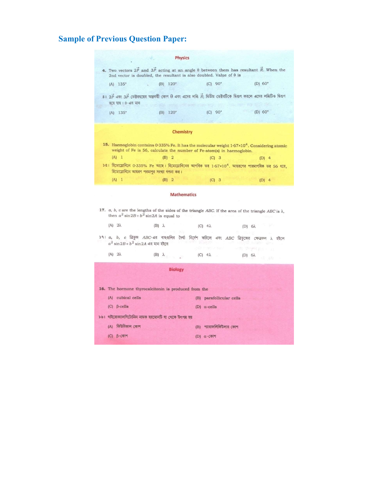#### Sample of Previous Question Paper:



(B)  $120^{\circ}$  $(C) 90^{\circ}$  $(D) 60^\circ$  $(A) 135°$ 

#### Chemistry

- 15. Haemoglobin contains 0.335% Fe. It has the molecular weight  $1.67 \times 10^4$ . Considering atomic weight of Fe is 56, calculate the number of Fe-atom(s) in haemoglobin.  $(B) 2$  $(D)$  4  $(A) 1$  $(C)$  3
- $201$  হিমোগ্লোবিনে 0.335% Fe আছে। হিমোগ্লোবিনের আণবিক ভর  $1.67 \times 10^4$ , আয়রণের পারমাণবিক ভর 56 ধরে, হিমোগ্লোবিনে আয়রণ পরমাণুর সংখ্যা গণনা কর।

#### (C) 3 (D) 4  $(A) 1$  $(B)$  2

#### **Mathematics**

- 17. a, b, c are the lengths of the sides of the triangle ABC. If the area of the triangle ABC is  $\lambda$ , then  $a^2 \sin 2B + b^2 \sin 2A$  is equal to
	- $(A)$   $2\lambda$  $(B)$   $\lambda$ (C)  $4\lambda$ (D)  $6\lambda$
- $\frac{1}{2}$  a, b, c ত্রিভুজ ABC-এর বাছগুলির দৈর্ঘ্য নির্দেশ করিলে এবং ABC ত্রিভুজের ক্ষেত্রফল  $\lambda$  হইলে  $a^2$  sin $2B + b^2$  sin $2A$  এর মান হইবে

| $(A)$ $2\lambda$ | $(B)$ $\lambda$ | (C) $4\lambda$ | (D) $6\lambda$ |
|------------------|-----------------|----------------|----------------|
|                  |                 |                |                |

|     | <b>Biology</b>                                        |     |                                |
|-----|-------------------------------------------------------|-----|--------------------------------|
|     | 16. The hormone thyrocalcitonin is produced from the  |     |                                |
| (A) | cubical cells                                         | (B) | parafollicular cells           |
|     | $(C)$ $\beta$ -cells                                  |     | (D) $\alpha$ -cells            |
|     | ১৬। থাইরোক্যালসিটোনিন নামক হরমোনটি যা থেকে উৎপন্ন হয় |     | <b>Service Address Service</b> |
| (A) | কিউবিকাল কোশ                                          | (B) | প্যারাফলিকিউলার কোশ            |
| (C) | $\beta$ - $\alpha$                                    | (D) | $\alpha$ - $\sqrt{N}$          |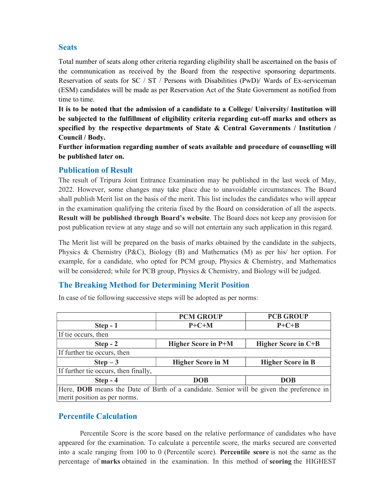#### **Seats**

Total number of seats along other criteria regarding eligibility shall be ascertained on the basis of the communication as received by the Board from the respective sponsoring departments. Reservation of seats for SC / ST / Persons with Disabilities (PwD)/ Wards of Ex-serviceman (ESM) candidates will be made as per Reservation Act of the State Government as notified from time to time.

It is to be noted that the admission of a candidate to a College/ University/ Institution will be subjected to the fulfillment of eligibility criteria regarding cut-off marks and others as specified by the respective departments of State & Central Governments / Institution / Council / Body.

Further information regarding number of seats available and procedure of counselling will be published later on.

#### Publication of Result

The result of Tripura Joint Entrance Examination may be published in the last week of May, 2022. However, some changes may take place due to unavoidable circumstances. The Board shall publish Merit list on the basis of the merit. This list includes the candidates who will appear in the examination qualifying the criteria fixed by the Board on consideration of all the aspects. Result will be published through Board's website. The Board does not keep any provision for post publication review at any stage and so will not entertain any such application in this regard.

The Merit list will be prepared on the basis of marks obtained by the candidate in the subjects, Physics & Chemistry (P&C), Biology (B) and Mathematics (M) as per his/ her option. For example, for a candidate, who opted for PCM group, Physics & Chemistry, and Mathematics will be considered; while for PCB group, Physics & Chemistry, and Biology will be judged.

#### The Breaking Method for Determining Merit Position

|                                                                                                                          | <b>PCM GROUP</b>           | <b>PCB GROUP</b>         |
|--------------------------------------------------------------------------------------------------------------------------|----------------------------|--------------------------|
| $Step - 1$                                                                                                               | $P+C+M$                    | $P + C + B$              |
| If tie occurs, then                                                                                                      |                            |                          |
| $Step - 2$                                                                                                               | <b>Higher Score in P+M</b> | Higher Score in C+B      |
| If further tie occurs, then                                                                                              |                            |                          |
| $Step - 3$                                                                                                               | <b>Higher Score in M</b>   | <b>Higher Score in B</b> |
| If further tie occurs, then finally,                                                                                     |                            |                          |
| $Step - 4$                                                                                                               | <b>DOB</b>                 | <b>DOB</b>               |
| Here, DOB means the Date of Birth of a candidate. Senior will be given the preference in<br>merit position as per norms. |                            |                          |

In case of tie following successive steps will be adopted as per norms:

#### Percentile Calculation

into a scale ranging from 100 to 0 (Percentile score). Percentile score is not the same as the Percentile Score is the score based on the relative performance of candidates who have appeared for the examination. To calculate a percentile score, the marks secured are converted percentage of marks obtained in the examination. In this method of scoring the HIGHEST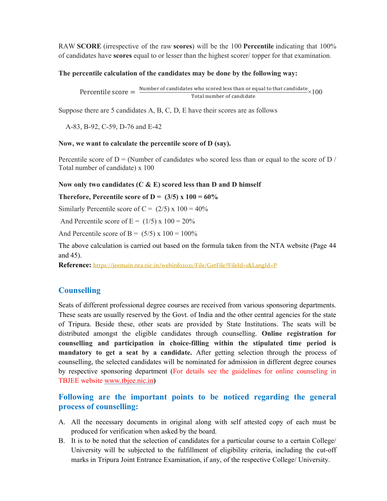RAW SCORE (irrespective of the raw scores) will be the 100 Percentile indicating that 100% of candidates have scores equal to or lesser than the highest scorer/ topper for that examination.

#### The percentile calculation of the candidates may be done by the following way:

Percentile score  $=\frac{\text{Number of candidates who scored less than or equal to that candidate}}{\text{Total number of candidate}} \times 100$ 

Suppose there are 5 candidates A, B, C, D, E have their scores are as follows

A-83, B-92, C-59, D-76 and E-42

#### Now, we want to calculate the percentile score of D (say).

Percentile score of  $D = (Number of candidates who scored less than or equal to the score of D /$ Total number of candidate) x 100

#### Now only two candidates  $(C & E)$  scored less than D and D himself

Therefore, Percentile score of D =  $(3/5)$  x 100 = 60%

Similarly Percentile score of C =  $(2/5)$  x 100 = 40%

And Percentile score of  $E = (1/5) \times 100 = 20\%$ 

And Percentile score of B =  $(5/5)$  x 100 = 100%

The above calculation is carried out based on the formula taken from the NTA website (Page 44 and 45).

Reference: https://jeemain.nta.nic.in/webinfo2021/File/GetFile?FileId=1&LangId=P

#### **Counselling**

Seats of different professional degree courses are received from various sponsoring departments. These seats are usually reserved by the Govt. of India and the other central agencies for the state of Tripura. Beside these, other seats are provided by State Institutions. The seats will be distributed amongst the eligible candidates through counselling. Online registration for counselling and participation in choice-filling within the stipulated time period is mandatory to get a seat by a candidate. After getting selection through the process of counselling, the selected candidates will be nominated for admission in different degree courses by respective sponsoring department (For details see the guidelines for online counseling in TBJEE website www.tbjee.nic.in)

#### Following are the important points to be noticed regarding the general process of counselling:

- A. All the necessary documents in original along with self attested copy of each must be produced for verification when asked by the board.
- 1 University will be subjected to the fulfillment of eligibility criteria, including the cut-off B. It is to be noted that the selection of candidates for a particular course to a certain College/ marks in Tripura Joint Entrance Examination, if any, of the respective College/ University.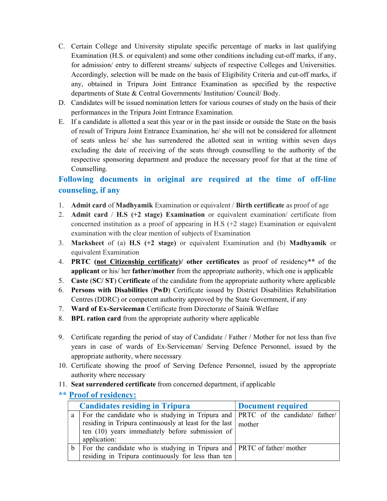- C. Certain College and University stipulate specific percentage of marks in last qualifying Examination (H.S. or equivalent) and some other conditions including cut-off marks, if any, for admission/ entry to different streams/ subjects of respective Colleges and Universities. Accordingly, selection will be made on the basis of Eligibility Criteria and cut-off marks, if any, obtained in Tripura Joint Entrance Examination as specified by the respective departments of State & Central Governments/ Institution/ Council/ Body.
- D. Candidates will be issued nomination letters for various courses of study on the basis of their performances in the Tripura Joint Entrance Examination.
- E. If a candidate is allotted a seat this year or in the past inside or outside the State on the basis of result of Tripura Joint Entrance Examination, he/ she will not be considered for allotment of seats unless he/ she has surrendered the allotted seat in writing within seven days excluding the date of receiving of the seats through counselling to the authority of the respective sponsoring department and produce the necessary proof for that at the time of Counselling.

### Following documents in original are required at the time of off-line counseling, if any

- 1. Admit card of Madhyamik Examination or equivalent / Birth certificate as proof of age
- 2. Admit card / H.S (+2 stage) Examination or equivalent examination/ certificate from concerned institution as a proof of appearing in H.S (+2 stage) Examination or equivalent examination with the clear mention of subjects of Examination
- 3. Marksheet of (a) H.S (+2 stage) or equivalent Examination and (b) Madhyamik or equivalent Examination
- 4. PRTC (not Citizenship certificate)/ other certificates as proof of residency\*\* of the applicant or his/ her father/mother from the appropriate authority, which one is applicable
- 5. Caste (SC/ ST) Certificate of the candidate from the appropriate authority where applicable
- 6. Persons with Disabilities (PwD) Certificate issued by District Disabilities Rehabilitation Centres (DDRC) or competent authority approved by the State Government, if any
- 7. Ward of Ex-Serviceman Certificate from Directorate of Sainik Welfare
- 8. BPL ration card from the appropriate authority where applicable
- 9. Certificate regarding the period of stay of Candidate / Father / Mother for not less than five years in case of wards of Ex-Serviceman/ Serving Defence Personnel, issued by the appropriate authority, where necessary
- 10. Certificate showing the proof of Serving Defence Personnel, issued by the appropriate authority where necessary
- 11. Seat surrendered certificate from concerned department, if applicable

#### \*\* Proof of residency:

| <b>Candidates residing in Tripura</b> |                                                                                         | Document required |
|---------------------------------------|-----------------------------------------------------------------------------------------|-------------------|
|                                       | a   For the candidate who is studying in Tripura and   PRTC of the candidate/ father/   |                   |
|                                       | residing in Tripura continuously at least for the last $\vert$ mother                   |                   |
|                                       | ten $(10)$ years immediately before submission of                                       |                   |
|                                       | application:                                                                            |                   |
|                                       | $\mathbf{b}$   For the candidate who is studying in Tripura and   PRTC of father/mother |                   |
|                                       | residing in Tripura continuously for less than ten                                      |                   |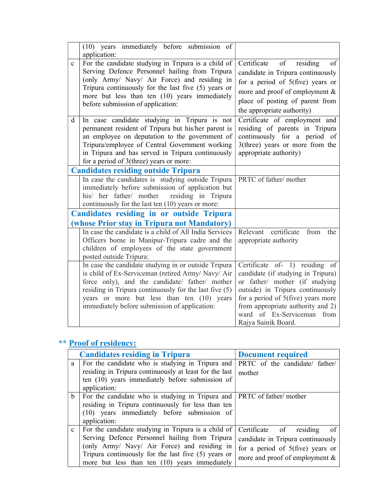|                   | (10) years immediately before submission of<br>application:                                                                                                                                                                                                                                                                                                                                                                                                                                                                                                                                                   |                                                                                                                                                                                                                                                                                                                                                                                 |
|-------------------|---------------------------------------------------------------------------------------------------------------------------------------------------------------------------------------------------------------------------------------------------------------------------------------------------------------------------------------------------------------------------------------------------------------------------------------------------------------------------------------------------------------------------------------------------------------------------------------------------------------|---------------------------------------------------------------------------------------------------------------------------------------------------------------------------------------------------------------------------------------------------------------------------------------------------------------------------------------------------------------------------------|
| $\mathbf{C}$<br>d | For the candidate studying in Tripura is a child of<br>Serving Defence Personnel hailing from Tripura<br>(only Army/ Navy/ Air Force) and residing in<br>Tripura continuously for the last five (5) years or<br>more but less than ten (10) years immediately<br>before submission of application:<br>In case candidate studying in Tripura is not<br>permanent resident of Tripura but his/her parent is<br>an employee on deputation to the government of<br>Tripura/employee of Central Government working<br>in Tripura and has served in Tripura continuously<br>for a period of 3(three) years or more: | Certificate of<br>of<br>residing<br>candidate in Tripura continuously<br>for a period of $5$ (five) years or<br>more and proof of employment &<br>place of posting of parent from<br>the appropriate authority)<br>Certificate of employment and<br>residing of parents in Tripura<br>continuously for a period of<br>3(three) years or more from the<br>appropriate authority) |
|                   | <b>Candidates residing outside Tripura</b>                                                                                                                                                                                                                                                                                                                                                                                                                                                                                                                                                                    |                                                                                                                                                                                                                                                                                                                                                                                 |
|                   | In case the candidates is studying outside Tripura<br>immediately before submission of application but<br>his/ her father/ mother<br>residing in Tripura<br>continuously for the last ten (10) years or more:                                                                                                                                                                                                                                                                                                                                                                                                 | PRTC of father/mother                                                                                                                                                                                                                                                                                                                                                           |
|                   | <b>Candidates residing in or outside Tripura</b>                                                                                                                                                                                                                                                                                                                                                                                                                                                                                                                                                              |                                                                                                                                                                                                                                                                                                                                                                                 |
|                   | (whose Prior stay in Tripura not Mandatory)                                                                                                                                                                                                                                                                                                                                                                                                                                                                                                                                                                   |                                                                                                                                                                                                                                                                                                                                                                                 |
|                   | In case the candidate is a child of All India Services<br>Officers borne in Manipur-Tripura cadre and the<br>children of employees of the state government<br>posted outside Tripura:                                                                                                                                                                                                                                                                                                                                                                                                                         | certificate<br>Relevant<br>from<br>the<br>appropriate authority                                                                                                                                                                                                                                                                                                                 |
|                   | In case the candidate studying in or outside Tripura<br>is child of Ex-Serviceman (retired Army/ Navy/ Air<br>force only), and the candidate/ father/ mother<br>residing in Tripura continuously for the last five (5)<br>years or more but less than ten (10) years<br>immediately before submission of application:                                                                                                                                                                                                                                                                                         | Certificate of- 1) residing of<br>candidate (if studying in Tripura)<br>or father/ mother (if studying<br>outside) in Tripura continuously<br>for a period of 5(five) years more<br>from appropriate authority and 2)<br>ward of Ex-Serviceman from<br>Rajya Sainik Board.                                                                                                      |

## \*\* Proof of residency:

|              | <b>Candidates residing in Tripura</b>                                                                      | <b>Document required</b>            |
|--------------|------------------------------------------------------------------------------------------------------------|-------------------------------------|
| a            | For the candidate who is studying in Tripura and<br>residing in Tripura continuously at least for the last | PRTC of the candidate/ father/      |
|              | ten (10) years immediately before submission of                                                            | mother                              |
|              | application:                                                                                               |                                     |
| $\mathbf b$  | For the candidate who is studying in Tripura and PRTC of father/mother                                     |                                     |
|              | residing in Tripura continuously for less than ten                                                         |                                     |
|              | (10) years immediately before submission of                                                                |                                     |
|              | application:                                                                                               |                                     |
| $\mathbf{c}$ | For the candidate studying in Tripura is a child of                                                        | Certificate of<br>residing<br>- of  |
|              | Serving Defence Personnel hailing from Tripura                                                             | candidate in Tripura continuously   |
|              | (only Army/ Navy/ Air Force) and residing in                                                               | for a period of $5$ (five) years or |
|              | Tripura continuously for the last five $(5)$ years or                                                      | more and proof of employment $\&$   |
|              | more but less than ten (10) years immediately                                                              |                                     |